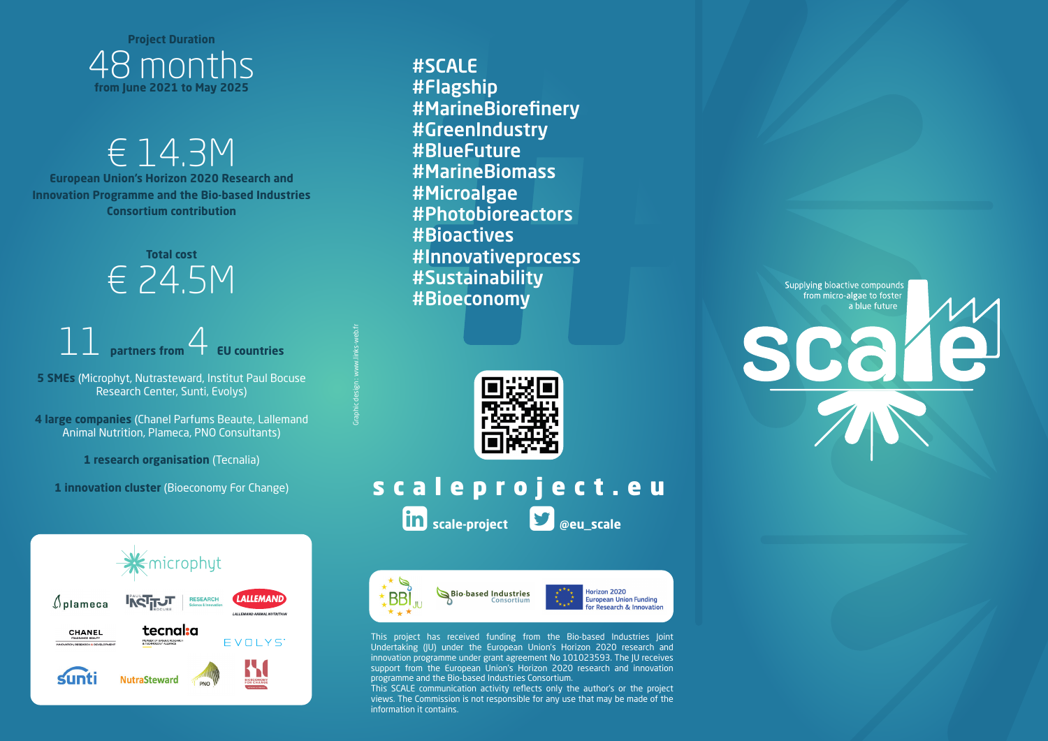

€ 14.3M **European Union's Horizon 2020 Research and Innovation Programme and the Bio-based Industries Consortium contribution** 

> **Total cost**  € 24.5M

### 11 **partners from** 4 **EU countries**

**5 SMEs** (Microphyt, Nutrasteward, Institut Paul Bocuse Research Center, Sunti, Evolys)

**4 large companies** (Chanel Parfums Beaute, Lallemand Animal Nutrition, Plameca, PNO Consultants)

**1 research organisation** (Tecnalia)

**1 innovation cluster** (Bioeconomy For Change)



#SCALE #Flagship #MarineBiorefinery #GreenIndustry #BlueFuture #MarineBiomass #Microalgae #Photobioreactors #Bioactives #Innovativeprocess #Sustainability #Bioeconomy



Graphic design : www.links-web.fr

scaleproject.eu **scale-project @eu\_scale**



This project has received funding from the Bio-based Industries Joint Undertaking (JU) under the European Union's Horizon 2020 research and innovation programme under grant agreement No 101023593. The JU receives support from the European Union's Horizon 2020 research and innovation programme and the Bio-based Industries Consortium.

This SCALE communication activity reflects only the author's or the project views. The Commission is not responsible for any use that may be made of the information it contains.

Supplying bioactive compounds from micro-algae to foster a blue future scare